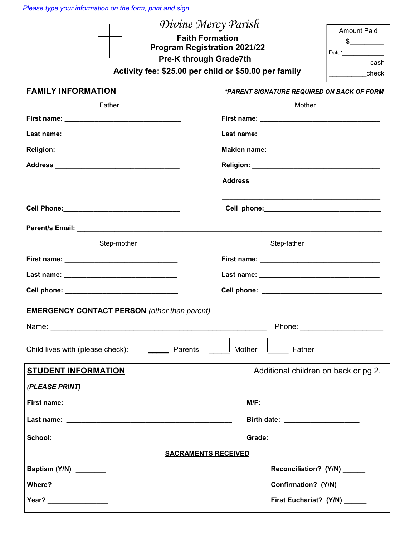*Please type your information on the form, print and sign.*

|                                                                    | Divine Mercy Parish<br><b>Amount Paid</b><br><b>Faith Formation</b><br>$\frac{1}{2}$<br><b>Program Registration 2021/22</b><br><b>Pre-K through Grade7th</b><br>cash<br>Activity fee: \$25.00 per child or \$50.00 per family<br>____________check |  |
|--------------------------------------------------------------------|----------------------------------------------------------------------------------------------------------------------------------------------------------------------------------------------------------------------------------------------------|--|
| <b>FAMILY INFORMATION</b>                                          | *PARENT SIGNATURE REQUIRED ON BACK OF FORM                                                                                                                                                                                                         |  |
| Father                                                             | Mother                                                                                                                                                                                                                                             |  |
|                                                                    |                                                                                                                                                                                                                                                    |  |
|                                                                    |                                                                                                                                                                                                                                                    |  |
|                                                                    |                                                                                                                                                                                                                                                    |  |
|                                                                    |                                                                                                                                                                                                                                                    |  |
|                                                                    |                                                                                                                                                                                                                                                    |  |
|                                                                    |                                                                                                                                                                                                                                                    |  |
|                                                                    |                                                                                                                                                                                                                                                    |  |
|                                                                    |                                                                                                                                                                                                                                                    |  |
| Step-mother                                                        | Step-father                                                                                                                                                                                                                                        |  |
|                                                                    |                                                                                                                                                                                                                                                    |  |
|                                                                    |                                                                                                                                                                                                                                                    |  |
| Cell phone: _________________________________                      |                                                                                                                                                                                                                                                    |  |
| <b>EMERGENCY CONTACT PERSON (other than parent)</b>                |                                                                                                                                                                                                                                                    |  |
|                                                                    |                                                                                                                                                                                                                                                    |  |
| Child lives with (please check):<br>Parents<br>Mother<br>Father    |                                                                                                                                                                                                                                                    |  |
| <b>STUDENT INFORMATION</b><br>Additional children on back or pg 2. |                                                                                                                                                                                                                                                    |  |
| (PLEASE PRINT)                                                     |                                                                                                                                                                                                                                                    |  |
|                                                                    | M/F:                                                                                                                                                                                                                                               |  |
| Birth date: _____________________                                  |                                                                                                                                                                                                                                                    |  |
|                                                                    | Grade: ________                                                                                                                                                                                                                                    |  |
| <b>SACRAMENTS RECEIVED</b>                                         |                                                                                                                                                                                                                                                    |  |
| Baptism (Y/N) ________                                             | Reconciliation? (Y/N) ______                                                                                                                                                                                                                       |  |
|                                                                    | Confirmation? (Y/N) ______                                                                                                                                                                                                                         |  |
|                                                                    | First Eucharist? (Y/N) ______                                                                                                                                                                                                                      |  |